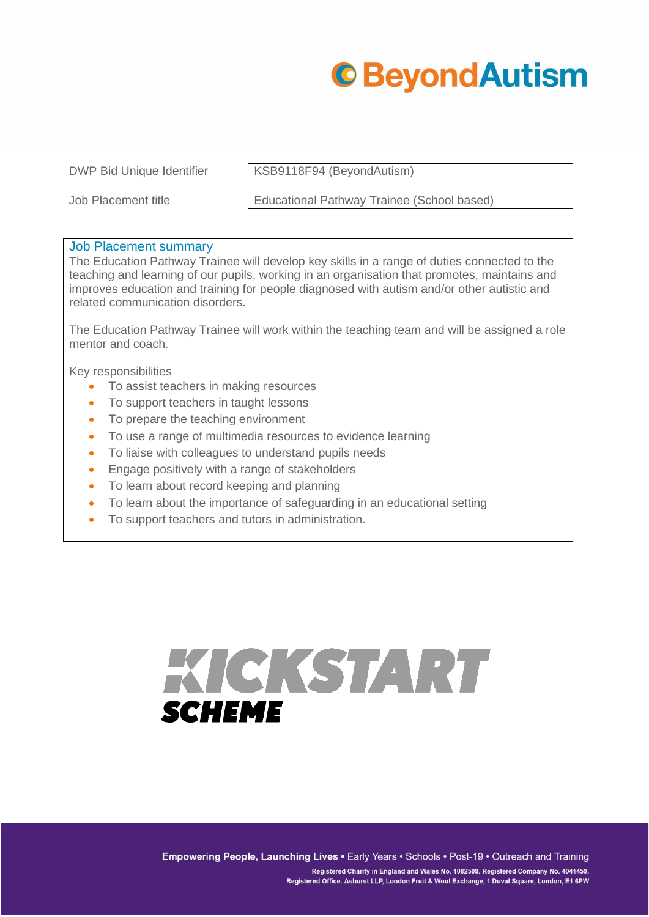

DWP Bid Unique Identifier KSB9118F94 (BeyondAutism)

Job Placement title Educational Pathway Trainee (School based)

## Job Placement summary

The Education Pathway Trainee will develop key skills in a range of duties connected to the teaching and learning of our pupils, working in an organisation that promotes, maintains and improves education and training for people diagnosed with autism and/or other autistic and related communication disorders.

The Education Pathway Trainee will work within the teaching team and will be assigned a role mentor and coach.

Key responsibilities

- To assist teachers in making resources
- To support teachers in taught lessons
- To prepare the teaching environment
- To use a range of multimedia resources to evidence learning
- To liaise with colleagues to understand pupils needs
- Engage positively with a range of stakeholders
- To learn about record keeping and planning
- To learn about the importance of safeguarding in an educational setting
- To support teachers and tutors in administration.

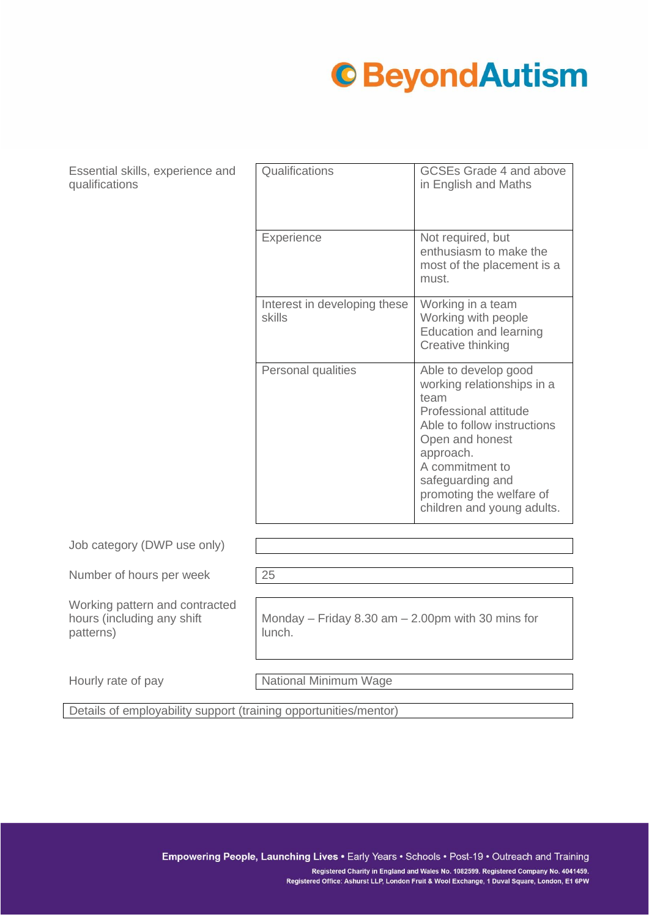## **C**BeyondAutism

Essential skills, experience and qualifications

| Qualifications                         | <b>GCSEs Grade 4 and above</b><br>in English and Maths                                                                                                                                                                                              |
|----------------------------------------|-----------------------------------------------------------------------------------------------------------------------------------------------------------------------------------------------------------------------------------------------------|
| Experience                             | Not required, but<br>enthusiasm to make the<br>most of the placement is a<br>must.                                                                                                                                                                  |
| Interest in developing these<br>skills | Working in a team<br>Working with people<br><b>Education and learning</b><br>Creative thinking                                                                                                                                                      |
| Personal qualities                     | Able to develop good<br>working relationships in a<br>team<br>Professional attitude<br>Able to follow instructions<br>Open and honest<br>approach.<br>A commitment to<br>safeguarding and<br>promoting the welfare of<br>children and young adults. |

Job category (DWP use only)

Number of hours per week 25

Working pattern and contracted hours (including any shift patterns)

Monday – Friday 8.30 am – 2.00pm with 30 mins for lunch.

Hourly rate of pay National Minimum Wage

Details of employability support (training opportunities/mentor)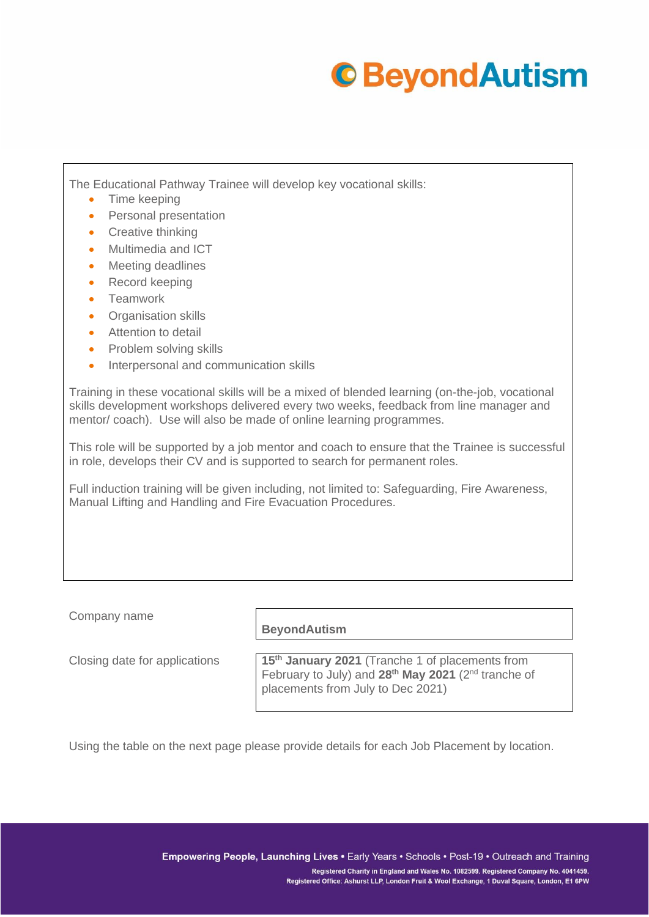## **C**BeyondAutism

The Educational Pathway Trainee will develop key vocational skills:

- Time keeping
- Personal presentation
- Creative thinking
- Multimedia and ICT
- Meeting deadlines
- Record keeping
- Teamwork
- Organisation skills
- Attention to detail
- Problem solving skills
- Interpersonal and communication skills

Training in these vocational skills will be a mixed of blended learning (on-the-job, vocational skills development workshops delivered every two weeks, feedback from line manager and mentor/ coach). Use will also be made of online learning programmes.

This role will be supported by a job mentor and coach to ensure that the Trainee is successful in role, develops their CV and is supported to search for permanent roles.

Full induction training will be given including, not limited to: Safeguarding, Fire Awareness, Manual Lifting and Handling and Fire Evacuation Procedures.

Company name

**BeyondAutism**

Closing date for applications **15th January 2021** (Tranche 1 of placements from February to July) and **28th May 2021** (2nd tranche of placements from July to Dec 2021)

Using the table on the next page please provide details for each Job Placement by location.